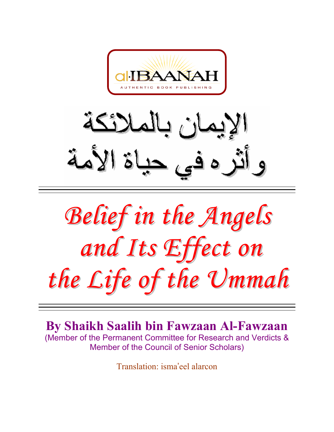

لائكة ان د و أثر ه في حياة الأمة

*Belief in the Angels and Its Effect on the Life of the Ummah*

**By Shaikh Saalih bin Fawzaan Al-Fawzaan**  (Member of the Permanent Committee for Research and Verdicts & Member of the Council of Senior Scholars)

Translation: isma'eel alarcon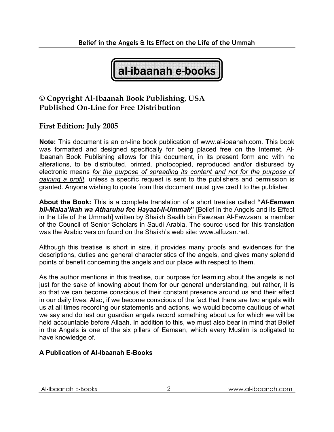al-ibaanah e-books

## **© Copyright Al-Ibaanah Book Publishing, USA Published On-Line for Free Distribution**

### **First Edition: July 2005**

**Note:** This document is an on-line book publication of www.al-ibaanah.com. This book was formatted and designed specifically for being placed free on the Internet. Al-Ibaanah Book Publishing allows for this document, in its present form and with no alterations, to be distributed, printed, photocopied, reproduced and/or disbursed by electronic means *for the purpose of spreading its content and not for the purpose of gaining a profit,* unless a specific request is sent to the publishers and permission is granted. Anyone wishing to quote from this document must give credit to the publisher.

**About the Book:** This is a complete translation of a short treatise called **"***Al-Eemaan bil-Malaa'ikah wa Atharuhu fee Hayaat-il-Ummah***"** [Belief in the Angels and its Effect in the Life of the Ummah] written by Shaikh Saalih bin Fawzaan Al-Fawzaan, a member of the Council of Senior Scholars in Saudi Arabia. The source used for this translation was the Arabic version found on the Shaikh's web site: www.alfuzan.net.

Although this treatise is short in size, it provides many proofs and evidences for the descriptions, duties and general characteristics of the angels, and gives many splendid points of benefit concerning the angels and our place with respect to them.

As the author mentions in this treatise, our purpose for learning about the angels is not just for the sake of knowing about them for our general understanding, but rather, it is so that we can become conscious of their constant presence around us and their effect in our daily lives. Also, if we become conscious of the fact that there are two angels with us at all times recording our statements and actions, we would become cautious of what we say and do lest our guardian angels record something about us for which we will be held accountable before Allaah. In addition to this, we must also bear in mind that Belief in the Angels is one of the six pillars of Eemaan, which every Muslim is obligated to have knowledge of.

#### **A Publication of Al-Ibaanah E-Books**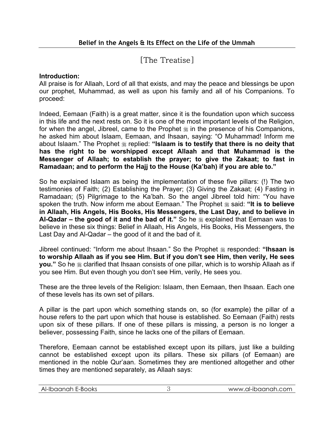# [The Treatise]

#### **Introduction:**

All praise is for Allaah, Lord of all that exists, and may the peace and blessings be upon our prophet, Muhammad, as well as upon his family and all of his Companions. To proceed:

Indeed, Eemaan (Faith) is a great matter, since it is the foundation upon which success in this life and the next rests on. So it is one of the most important levels of the Religion, for when the angel, Jibreel, came to the Prophet  $\frac{1}{26}$  in the presence of his Companions, he asked him about Islaam, Eemaan, and Ihsaan, saying: "O Muhammad! Inform me about Islaam." The Prophet  $*$  replied: "Islaam is to testify that there is no deity that **has the right to be worshipped except Allaah and that Muhammad is the Messenger of Allaah; to establish the prayer; to give the Zakaat; to fast in Ramadaan; and to perform the Hajj to the House (Ka'bah) if you are able to."** 

So he explained Islaam as being the implementation of these five pillars: (!) The two testimonies of Faith; (2) Establishing the Prayer; (3) Giving the Zakaat; (4) Fasting in Ramadaan; (5) Pilgrimage to the Ka'bah. So the angel Jibreel told him: "You have spoken the truth. Now inform me about Eemaan." The Prophet  $\frac{4}{36}$  said: "It is to believe **in Allaah, His Angels, His Books, His Messengers, the Last Day, and to believe in**  Al-Qadar – the good of it and the bad of it." So he  $\frac{1}{26}$  explained that Eemaan was to believe in these six things: Belief in Allaah, His Angels, His Books, His Messengers, the Last Day and Al-Qadar – the good of it and the bad of it.

Iibreel continued: "Inform me about Ihsaan." So the Prophet  $\ddot{\ast}$  responded: "Ihsaan is **to worship Allaah as if you see Him. But if you don't see Him, then verily, He sees you.**" So he  $\&$  clarified that Ihsaan consists of one pillar, which is to worship Allaah as if you see Him. But even though you don't see Him, verily, He sees you.

These are the three levels of the Religion: Islaam, then Eemaan, then Ihsaan. Each one of these levels has its own set of pillars.

A pillar is the part upon which something stands on, so (for example) the pillar of a house refers to the part upon which that house is established. So Eemaan (Faith) rests upon six of these pillars. If one of these pillars is missing, a person is no longer a believer, possessing Faith, since he lacks one of the pillars of Eemaan.

Therefore, Eemaan cannot be established except upon its pillars, just like a building cannot be established except upon its pillars. These six pillars (of Eemaan) are mentioned in the noble Qur'aan. Sometimes they are mentioned altogether and other times they are mentioned separately, as Allaah says:

|--|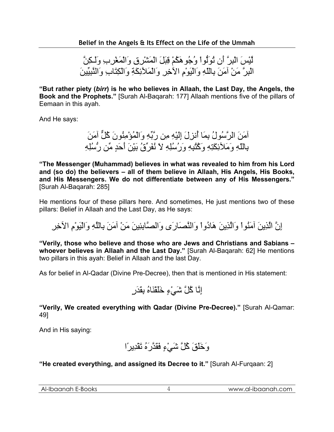لَّيْسَ الْبِرَّ أَن تُوَلُّواْ وُجُوهَكُمْ قِبَلَ الْمَشْرِقِ وَالْمَغْرِبِ وَلَـكِنَّ الْبِرَّ مَنْ آمَنَ بِاللّهِ وَالْيَوْمِ الآخِرِ وَالْمَلآئِكَةِ وَالْكِتَابِ وَالنَّبِيِّينَ

**"But rather piety (***birr***) is he who believes in Allaah, the Last Day, the Angels, the Book and the Prophets."** [Surah Al-Baqarah: 177] Allaah mentions five of the pillars of Eemaan in this ayah.

And He says:

آمَنَ الرَّسُولُ بِمَا أُنزِلَ إِلَيْهِ مِن رَّبِّهِ وَالْمُؤْمِنُونَ آُلٌّ آمَنَ بِاللّهِ وَمَلآئِكَتِهِ وَآُتُبِهِ وَرُسُلِهِ لاَ نُفَرِّقُ بَيْنَ أَحَدٍ مِّن رُّسُلِهِ

**"The Messenger (Muhammad) believes in what was revealed to him from his Lord and (so do) the believers – all of them believe in Allaah, His Angels, His Books, and His Messengers. We do not differentiate between any of His Messengers."** [Surah Al-Baqarah: 285]

He mentions four of these pillars here. And sometimes, He just mentions two of these pillars: Belief in Allaah and the Last Day, as He says:

إِنَّ الَّذِينَ آمَنُواْ وَالَّذِينَ هَادُواْ وَالنَّصَارَى وَالصَّابِئِينَ مَنْ آمَنَ بِاللَّهِ وَالْيَوْمِ الآخِرِ

**"Verily, those who believe and those who are Jews and Christians and Sabians – whoever believes in Allaah and the Last Day."** [Surah Al-Baqarah: 62] He mentions two pillars in this ayah: Belief in Allaah and the last Day.

As for belief in Al-Qadar (Divine Pre-Decree), then that is mentioned in His statement:

إِنَّا آُلَّ شَيْءٍ خَلَقْنَاهُ بِقَدَرٍ

**"Verily, We created everything with Qadar (Divine Pre-Decree)."** [Surah Al-Qamar: 49]

And in His saying:

وَخَلَقَ آُلَّ شَيْءٍ فَقَدَّرَهُ تَقْدِيرًا

**"He created everything, and assigned its Decree to it."** [Surah Al-Furqaan: 2]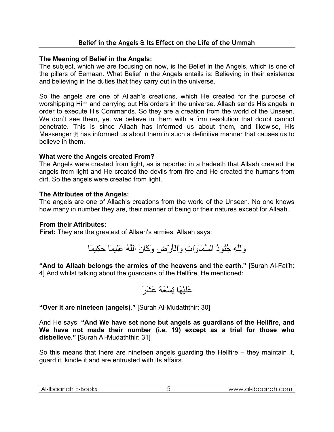#### **The Meaning of Belief in the Angels:**

The subject, which we are focusing on now, is the Belief in the Angels, which is one of the pillars of Eemaan. What Belief in the Angels entails is: Believing in their existence and believing in the duties that they carry out in the universe.

So the angels are one of Allaah's creations, which He created for the purpose of worshipping Him and carrying out His orders in the universe. Allaah sends His angels in order to execute His Commands. So they are a creation from the world of the Unseen. We don't see them, yet we believe in them with a firm resolution that doubt cannot penetrate. This is since Allaah has informed us about them, and likewise, His Messenger  $\frac{1}{20}$  has informed us about them in such a definitive manner that causes us to believe in them.

#### **What were the Angels created From?**

The Angels were created from light, as is reported in a hadeeth that Allaah created the angels from light and He created the devils from fire and He created the humans from dirt. So the angels were created from light.

#### **The Attributes of the Angels:**

The angels are one of Allaah's creations from the world of the Unseen. No one knows how many in number they are, their manner of being or their natures except for Allaah.

#### **From their Attributes:**

**First:** They are the greatest of Allaah's armies. Allaah says:

وَلِلَّهِ جُنُودُ السَّمَاوَاتِ وَالْأَرْضِ وَآَانَ اللَّهُ عَلِيمًا حَكِيمًا

**"And to Allaah belongs the armies of the heavens and the earth."** [Surah Al-Fat'h: 4] And whilst talking about the guardians of the Hellfire, He mentioned:

عَلَيْهَا تِسْعَةَ عَشَرَ

**"Over it are nineteen (angels)."** [Surah Al-Mudaththir: 30]

And He says: **"And We have set none but angels as guardians of the Hellfire, and We have not made their number (i.e. 19) except as a trial for those who disbelieve."** [Surah Al-Mudaththir: 31]

So this means that there are nineteen angels guarding the Hellfire – they maintain it, guard it, kindle it and are entrusted with its affairs.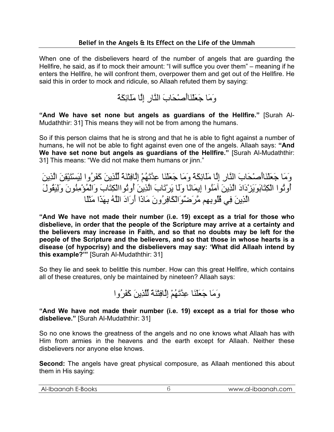When one of the disbelievers heard of the number of angels that are guarding the Hellfire, he said, as if to mock their amount: "I will suffice you over them" – meaning if he enters the Hellfire, he will confront them, overpower them and get out of the Hellfire. He said this in order to mock and ridicule, so Allaah refuted them by saying:

وَمَا جَعَلْنَاأَصْحَابَ النَّارِ إِلَّا مَلَائِكَةً

**"And We have set none but angels as guardians of the Hellfire."** [Surah Al-Mudaththir: 31] This means they will not be from among the humans.

So if this person claims that he is strong and that he is able to fight against a number of humans, he will not be able to fight against even one of the angels. Allaah says: **"And We have set none but angels as guardians of the Hellfire."** [Surah Al-Mudaththir: 31] This means: "We did not make them humans or jinn."

وَمَا جَعَلْنَاأَصْحَابَ النَّارِ إِلَّا مَلَائِكَةً وَمَا جَعَلْنَا عِدَّتَهُمْ إِلَّافِتْنَةً لِّلَّذِينَ آَفَرُوا لِيَسْتَيْقِنَ الَّذِينَ أُوتُوا الْكِتَابَوَيَزْدَادَ الَّذِينَ آمَنُوا إِيمَانًا وَلَا يَرْتَابَ الَّذِينَ أُوتُواالْكِتَابَ وَالْمُؤْمِنُونَ وَلِيَقُولَ الَّذِينَ فِي قُلُوبِهِم مَّرَضٌوَالْكَافِرُونَ مَاذَا أَرَادَ اللَّهُ بِهَذَا مَثَلًا

**"And We have not made their number (i.e. 19) except as a trial for those who disbelieve, in order that the people of the Scripture may arrive at a certainty and the believers may increase in Faith, and so that no doubts may be left for the people of the Scripture and the believers, and so that those in whose hearts is a disease (of hypocrisy) and the disbelievers may say: 'What did Allaah intend by this example?'"** [Surah Al-Mudaththir: 31]

So they lie and seek to belittle this number. How can this great Hellfire, which contains all of these creatures, only be maintained by nineteen? Allaah says:

وَمَا جَعَلْنَا عِدَّتَهُمْ إِلَّافِتْنَةً لِّلَّذِينَ آَفَرُوا

**"And We have not made their number (i.e. 19) except as a trial for those who disbelieve."** [Surah Al-Mudaththir: 31]

So no one knows the greatness of the angels and no one knows what Allaah has with Him from armies in the heavens and the earth except for Allaah. Neither these disbelievers nor anyone else knows.

**Second:** The angels have great physical composure, as Allaah mentioned this about them in His saying:

| iaanah<br>E-BOOKS<br>⋯<br>Aŀ-<br>∽<br>___ | .al-ibaanah.com<br>\8/\8/\&/ |
|-------------------------------------------|------------------------------|
|                                           |                              |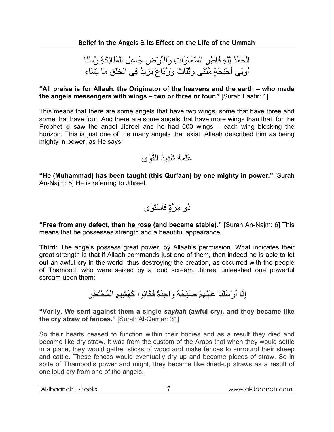الْحَمْدُ لِلَّهِ فَاطِرِ السَّمَاوَاتِ وَالْأَرْضِ جَاعِلِ الْمَلَائِكَةِ رُسُلًا أُولِي أَجْنِحَةٍ مَّثْنَى وَثُلَاثَ وَرُبَاعَ يَزِيدُ فِي الْخَلْقِ مَا يَشَاء

**"All praise is for Allaah, the Originator of the heavens and the earth – who made the angels messengers with wings – two or three or four."** [Surah Faatir: 1]

This means that there are some angels that have two wings, some that have three and some that have four. And there are some angels that have more wings than that, for the Prophet  $\frac{1}{26}$  saw the angel Jibreel and he had 600 wings – each wing blocking the horizon. This is just one of the many angels that exist. Allaah described him as being mighty in power, as He says:

عَلَّمَهُ شَدِيدُ الْقُوَى

**"He (Muhammad) has been taught (this Qur'aan) by one mighty in power."** [Surah An-Najm: 5] He is referring to Jibreel.

ذُو مِرَّةٍ فَاسْتَوَى

**"Free from any defect, then he rose (and became stable)."** [Surah An-Najm: 6] This means that he possesses strength and a beautiful appearance.

**Third:** The angels possess great power, by Allaah's permission. What indicates their great strength is that if Allaah commands just one of them, then indeed he is able to let out an awful cry in the world, thus destroying the creation, as occurred with the people of Thamood, who were seized by a loud scream. Jibreel unleashed one powerful scream upon them:

إِنَّا أَرْسَلْنَا عَلَيْهِمْ صَيْحَةً وَاحِدَةً فَكَانُوا آَهَشِيمِ الْمُحْتَظِرِ

**"Verily, We sent against them a single** *sayhah* **(awful cry), and they became like the dry straw of fences."** [Surah Al-Qamar: 31]

So their hearts ceased to function within their bodies and as a result they died and became like dry straw. It was from the custom of the Arabs that when they would settle in a place, they would gather sticks of wood and make fences to surround their sheep and cattle. These fences would eventually dry up and become pieces of straw. So in spite of Thamood's power and might, they became like dried-up straws as a result of one loud cry from one of the angels.

| Al-Ibaanah E-Books | www.al-ibaanah.com |
|--------------------|--------------------|
|                    |                    |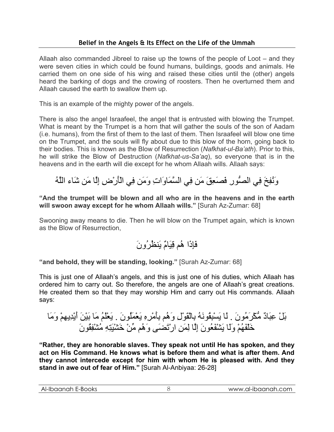Allaah also commanded Jibreel to raise up the towns of the people of Loot – and they were seven cities in which could be found humans, buildings, goods and animals. He carried them on one side of his wing and raised these cities until the (other) angels heard the barking of dogs and the crowing of roosters. Then he overturned them and Allaah caused the earth to swallow them up.

This is an example of the mighty power of the angels.

There is also the angel Israafeel, the angel that is entrusted with blowing the Trumpet. What is meant by the Trumpet is a horn that will gather the souls of the son of Aadam (i.e. humans), from the first of them to the last of them. Then Israafeel will blow one time on the Trumpet, and the souls will fly about due to this blow of the horn, going back to their bodies. This is known as the Blow of Resurrection (*Nafkhat-ul-Ba'ath*). Prior to this, he will strike the Blow of Destruction (*Nafkhat-us-Sa'aq*), so everyone that is in the heavens and in the earth will die except for he whom Allaah wills. Allaah says:

وَنُفِخَ فِي الصُّورِ فَصَعِقَ مَن فِي السَّمَاوَاتِ وَمَن فِي الْأَرْضِ إِلَّا مَن شَاء اللَّهُ

**"And the trumpet will be blown and all who are in the heavens and in the earth will swoon away except for he whom Allaah wills."** [Surah Az-Zumar: 68]

Swooning away means to die. Then he will blow on the Trumpet again, which is known as the Blow of Resurrection,

# فَإِذَا هُم قِيَامٌ يَنظُرُونَ

**"and behold, they will be standing, looking."** [Surah Az-Zumar: 68]

This is just one of Allaah's angels, and this is just one of his duties, which Allaah has ordered him to carry out. So therefore, the angels are one of Allaah's great creations. He created them so that they may worship Him and carry out His commands. Allaah says:

بَلْ عِبَادٌ مُّكْرَمُونَ . لَا يَسْبِقُونَهُ بِالْقَوْلِ وَهُم بِأَمْرِهِ يَعْمَلُونَ . يَعْلَمُ مَا بَيْنَ أَيْدِيهِمْ وَمَا خَلْفَهُمْ وَلَا يَشْفَعُونَ إِلَّا لِمَنِ ارْتَضَى وَهُم مِّنْ خَشْيَتِهِ مُشْفِقُونَ

**"Rather, they are honorable slaves. They speak not until He has spoken, and they act on His Command. He knows what is before them and what is after them. And they cannot intercede except for him with whom He is pleased with. And they stand in awe out of fear of Him."** [Surah Al-Anbiyaa: 26-28]

| Al-Ibaanah E-Books | www.al-ibaanah.com |
|--------------------|--------------------|
|                    |                    |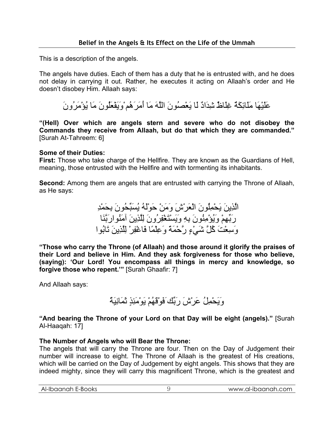This is a description of the angels.

The angels have duties. Each of them has a duty that he is entrusted with, and he does not delay in carrying it out. Rather, he executes it acting on Allaah's order and He doesn't disobey Him. Allaah says:

عَلَيْهَا مَلَائِكَةٌ غِلَاظٌ شِدَادٌ لَا يَعْصُونَ اللَّهَ مَا أَمَرَهُمْوَيَفْعَلُونَ مَا يُؤْمَرُونَ

**"(Hell) Over which are angels stern and severe who do not disobey the Commands they receive from Allaah, but do that which they are commanded."** [Surah At-Tahreem: 6]

#### **Some of their Duties:**

**First:** Those who take charge of the Hellfire. They are known as the Guardians of Hell, meaning, those entrusted with the Hellfire and with tormenting its inhabitants.

**Second:** Among them are angels that are entrusted with carrying the Throne of Allaah, as He says:

> الَّذِينَ يَحْمِلُونَ الْعَرْشَ وَمَنْ حَوْلَهُ يُسَبِّحُونَ بِحَمْدِ رَبِّهِمْ وَيُؤْمِنُونَ بِهِ وَيَسْتَغْفِرُونَ لِلَّذِينَ آمَنُوارَبَّنَا وَسِعْتَ آُلَّ شَيْءٍ رَّحْمَةً وَعِلْمًا فَاغْفِرْ لِلَّذِينَ تَابُوا

**"Those who carry the Throne (of Allaah) and those around it glorify the praises of their Lord and believe in Him. And they ask forgiveness for those who believe, (saying): 'Our Lord! You encompass all things in mercy and knowledge, so forgive those who repent.'"** [Surah Ghaafir: 7]

And Allaah says:

وَيَحْمِلُ عَرْشَ رَبِّكَفَوْقَهُمْ يَوْمَئِذٍ ثَمَانِيَةٌ

**"And bearing the Throne of your Lord on that Day will be eight (angels)."** [Surah Al-Haaqah: 17]

#### **The Number of Angels who will Bear the Throne:**

The angels that will carry the Throne are four. Then on the Day of Judgement their number will increase to eight. The Throne of Allaah is the greatest of His creations, which will be carried on the Day of Judgement by eight angels. This shows that they are indeed mighty, since they will carry this magnificent Throne, which is the greatest and

| baanah<br>=-BOOKS<br>AI-II<br>$\overline{1}$<br>⋯ | 1.COM<br>v.al-ibaanah.<br><b>WAVW</b> |
|---------------------------------------------------|---------------------------------------|
|                                                   |                                       |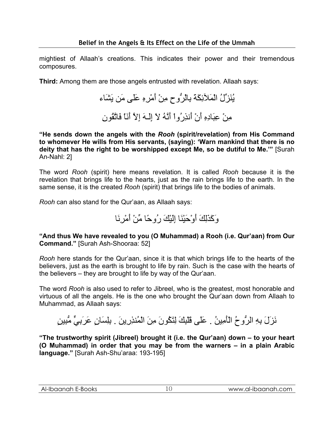mightiest of Allaah's creations. This indicates their power and their tremendous composures.

**Third:** Among them are those angels entrusted with revelation. Allaah says:

يُنَزِّلُ الْمَلآئِكَةَ بِالْرُّوحِ مِنْ أَمْرِهِ عَلَى مَن يَشَاء مِنْ عِبَادِهِ أَنْ أَنذِرُواْ أَنَّهُ لاَ إِلَـهَ إِلاَّ أَنَاْ فَاتَّقُونِ

**"He sends down the angels with the** *Rooh* **(spirit/revelation) from His Command to whomever He wills from His servants, (saying): 'Warn mankind that there is no deity that has the right to be worshipped except Me, so be dutiful to Me.'"** [Surah An-Nahl: 2]

The word *Rooh* (spirit) here means revelation. It is called *Rooh* because it is the revelation that brings life to the hearts, just as the rain brings life to the earth. In the same sense, it is the created *Rooh* (spirit) that brings life to the bodies of animals.

*Rooh* can also stand for the Qur'aan, as Allaah says:

وَآَذَلِكَ أَوْحَيْنَا إِلَيْكَ رُوحًا مِّنْ أَمْرِنَا

**"And thus We have revealed to you (O Muhammad) a Rooh (i.e. Qur'aan) from Our Command."** [Surah Ash-Shooraa: 52]

*Rooh* here stands for the Qur'aan, since it is that which brings life to the hearts of the believers, just as the earth is brought to life by rain. Such is the case with the hearts of the believers – they are brought to life by way of the Qur'aan.

The word *Rooh* is also used to refer to Jibreel, who is the greatest, most honorable and virtuous of all the angels. He is the one who brought the Qur'aan down from Allaah to Muhammad, as Allaah says:

نَزَلَ بِهِ الرُّوحُ الْأَمِينُ . عَلَى قَلْبِكَ لِتَكُونَ مِنَ الْمُنذِرِينَ . بِلِسَانٍ عَرَبِيٍّ مُّبِينٍ

**"The trustworthy spirit (Jibreel) brought it (i.e. the Qur'aan) down – to your heart (O Muhammad) in order that you may be from the warners – in a plain Arabic language."** [Surah Ash-Shu'araa: 193-195]

| Al-Ibaanah E-Books |  |
|--------------------|--|
|--------------------|--|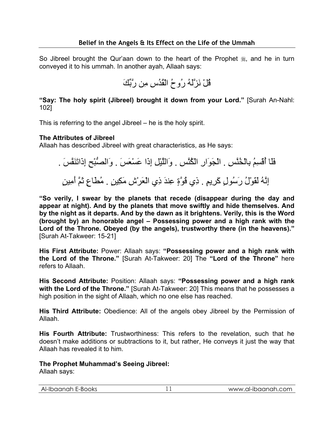So Jibreel brought the Qur'aan down to the heart of the Prophet  $\frac{4}{36}$ , and he in turn conveyed it to his ummah. In another ayah, Allaah says:

قُلْ نَزَّلَهُ رُوحُ الْقُدُسِ مِن رَّبِّكَ

**"Say: The holy spirit (Jibreel) brought it down from your Lord."** [Surah An-Nahl: 102]

This is referring to the angel Jibreel – he is the holy spirit.

#### **The Attributes of Jibreel**

Allaah has described Jibreel with great characteristics, as He says:

فَلَا أُقْسِمُ بِالْخُنَّسِ . الْجَوَارِ الْكُنَّسِ . وَاللَّيْلِ إِذَا عَسْعَسَ . وَالصُّبْحِ إِذَاتَنَفَّسَ . إِنَّهُ لَقَوْلُ رَسُولٍ كَرِيمٍ . ذِي قُوَّةٍ عِندَ ذِي الْعَرْشِ مَكِينٍ . مُطَاعٍ ثَمَّ أَمِينٍ

**"So verily, I swear by the planets that recede (disappear during the day and appear at night). And by the planets that move swiftly and hide themselves. And by the night as it departs. And by the dawn as it brightens. Verily, this is the Word (brought by) an honorable angel – Possessing power and a high rank with the Lord of the Throne. Obeyed (by the angels), trustworthy there (in the heavens)."** [Surah At-Takweer: 15-21]

**His First Attribute:** Power: Allaah says: **"Possessing power and a high rank with the Lord of the Throne."** [Surah At-Takweer: 20] The **"Lord of the Throne"** here refers to Allaah.

**His Second Attribute:** Position: Allaah says: **"Possessing power and a high rank with the Lord of the Throne."** [Surah At-Takweer: 20] This means that he possesses a high position in the sight of Allaah, which no one else has reached.

**His Third Attribute:** Obedience: All of the angels obey Jibreel by the Permission of Allaah.

**His Fourth Attribute:** Trustworthiness: This refers to the revelation, such that he doesn't make additions or subtractions to it, but rather, He conveys it just the way that Allaah has revealed it to him.

**The Prophet Muhammad's Seeing Jibreel:** 

Allaah says: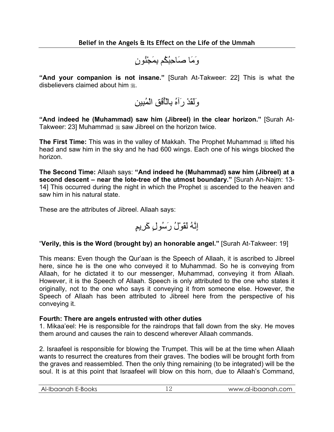وَمَا صَاحِبُكُم بِمَجْنُونٍ

**"And your companion is not insane."** [Surah At-Takweer: 22] This is what the disbelievers claimed about him ...

وَلَقَدْ رَآهُ بِالْأُفُقِ الْمُبِينِ

**"And indeed he (Muhammad) saw him (Jibreel) in the clear horizon."** [Surah At-Takweer: 23] Muhammad  $*$  saw Jibreel on the horizon twice.

**The First Time:** This was in the valley of Makkah. The Prophet Muhammad  $\frac{1}{26}$  lifted his head and saw him in the sky and he had 600 wings. Each one of his wings blocked the horizon.

**The Second Time:** Allaah says: **"And indeed he (Muhammad) saw him (Jibreel) at a second descent – near the lote-tree of the utmost boundary."** [Surah An-Najm: 13- 14] This occurred during the night in which the Prophet  $\frac{1}{20}$  ascended to the heaven and saw him in his natural state.

These are the attributes of Jibreel. Allaah says:

$$
\downarrow
$$
لَّهُ لَقُوٌلُ رَسُولِ كَرِيِمٍ

#### "**Verily, this is the Word (brought by) an honorable angel."** [Surah At-Takweer: 19]

This means: Even though the Qur'aan is the Speech of Allaah, it is ascribed to Jibreel here, since he is the one who conveyed it to Muhammad. So he is conveying from Allaah, for he dictated it to our messenger, Muhammad, conveying it from Allaah. However, it is the Speech of Allaah. Speech is only attributed to the one who states it originally, not to the one who says it conveying it from someone else. However, the Speech of Allaah has been attributed to Jibreel here from the perspective of his conveying it.

#### **Fourth: There are angels entrusted with other duties**

1. Mikaa'eel: He is responsible for the raindrops that fall down from the sky. He moves them around and causes the rain to descend wherever Allaah commands.

2. Israafeel is responsible for blowing the Trumpet. This will be at the time when Allaah wants to resurrect the creatures from their graves. The bodies will be brought forth from the graves and reassembled. Then the only thing remaining (to be integrated) will be the soul. It is at this point that Israafeel will blow on this horn, due to Allaah's Command,

| -Ibaanah E-Books<br>AI-II | .al-ibaanah.com<br><b>WWW</b> |
|---------------------------|-------------------------------|
|                           |                               |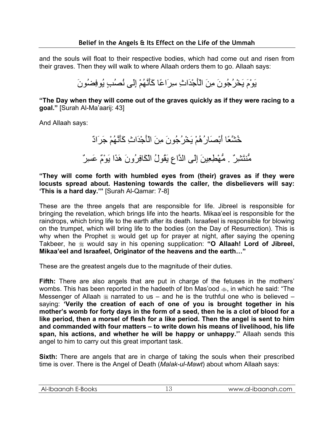and the souls will float to their respective bodies, which had come out and risen from their graves. Then they will walk to where Allaah orders them to go. Allaah says:

يَوْمَ يَخْرُجُونَ مِنَ الْأَجْدَاثِ سِرَاعًا آَأَنَّهُمْ إِلَى نُصُبٍ يُوفِضُونَ

**"The Day when they will come out of the graves quickly as if they were racing to a goal."** [Surah Al-Ma'aarij: 43]

And Allaah says:

خُشَّعًا أَبْصَارُهُمْ يَخْرُجُونَ مِنَ الْأَجْدَاثِ آَأَنَّهُمْ جَرَادٌ مُّنتَشِرٌ . مُّهْطِعِينَ إِلَى الدَّاعِ يَقُولُ الْكَافِرُونَ هَذَا يَوْمٌ عَسِرٌ

**"They will come forth with humbled eyes from (their) graves as if they were locusts spread about. Hastening towards the caller, the disbelievers will say: 'This is a hard day.'"** [Surah Al-Qamar: 7-8]

These are the three angels that are responsible for life. Jibreel is responsible for bringing the revelation, which brings life into the hearts. Mikaa'eel is responsible for the raindrops, which bring life to the earth after its death. Israafeel is responsible for blowing on the trumpet, which will bring life to the bodies (on the Day of Resurrection). This is why when the Prophet  $*$  would get up for prayer at night, after saying the opening Takbeer, he would say in his opening supplication: **"O Allaah! Lord of Jibreel, Mikaa'eel and Israafeel, Originator of the heavens and the earth…"**

These are the greatest angels due to the magnitude of their duties.

**Fifth:** There are also angels that are put in charge of the fetuses in the mothers' wombs. This has been reported in the hadeeth of Ibn Mas'ood  $\phi$ , in which he said: "The Messenger of Allaah  $*$  narrated to us – and he is the truthful one who is believed – saying: **'Verily the creation of each of one of you is brought together in his mother's womb for forty days in the form of a seed, then he is a clot of blood for a like period, then a morsel of flesh for a like period. Then the angel is sent to him and commanded with four matters – to write down his means of livelihood, his life span, his actions, and whether he will be happy or unhappy.'**" Allaah sends this angel to him to carry out this great important task.

**Sixth:** There are angels that are in charge of taking the souls when their prescribed time is over. There is the Angel of Death (*Malak-ul-Mawt*) about whom Allaah says:

| Al-Ibaanah E-Books<br>www.al-ibaanah.com |
|------------------------------------------|
|------------------------------------------|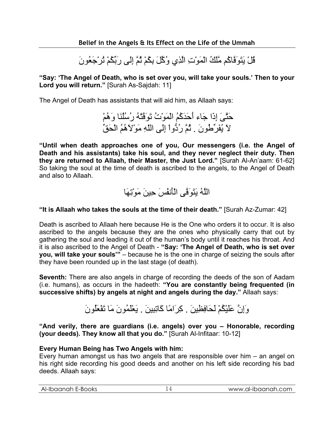قُلْ يَتَوَفَّاآُم مَّلَكُ الْمَوْتِ الَّذِي وُآِّلَ بِكُمْ ثُمَّ إِلَى رَبِّكُمْ تُرْجَعُونَ

**"Say: 'The Angel of Death, who is set over you, will take your souls.' Then to your Lord you will return."** [Surah As-Sajdah: 11]

The Angel of Death has assistants that will aid him, as Allaah says:

حَتَّىَ إِذَا جَاء أَحَدَآُمُ الْمَوْتُ تَوَفَّتْهُ رُسُلُنَا وَهُمْ لاَ يُفَرِّطُونَ . ثُمَّ رُدُّواْ إِلَى اللّهِ مَوْلاَهُمُ الْحَقِّ

**"Until when death approaches one of you, Our messengers (i.e. the Angel of Death and his assistants) take his soul, and they never neglect their duty. Then they are returned to Allaah, their Master, the Just Lord."** [Surah Al-An'aam: 61-62] So taking the soul at the time of death is ascribed to the angels, to the Angel of Death and also to Allaah.



### **"It is Allaah who takes the souls at the time of their death."** [Surah Az-Zumar: 42]

Death is ascribed to Allaah here because He is the One who orders it to occur. It is also ascribed to the angels because they are the ones who physically carry that out by gathering the soul and leading it out of the human's body until it reaches his throat. And it is also ascribed to the Angel of Death - **"Say: 'The Angel of Death, who is set over you, will take your souls'"** – because he is the one in charge of seizing the souls after they have been rounded up in the last stage (of death).

**Seventh:** There are also angels in charge of recording the deeds of the son of Aadam (i.e. humans), as occurs in the hadeeth: **"You are constantly being frequented (in successive shifts) by angels at night and angels during the day."** Allaah says:

وَإِنَّ عَلَيْكُمْ لَحَافِظِينَ . آِرَامًا آَاتِبِينَ . يَعْلَمُونَ مَا تَفْعَلُونَ

**"And verily, there are guardians (i.e. angels) over you – Honorable, recording (your deeds). They know all that you do."** [Surah Al-Infitaar: 10-12]

#### **Every Human Being has Two Angels with him:**

Every human amongst us has two angels that are responsible over him – an angel on his right side recording his good deeds and another on his left side recording his bad deeds. Allaah says:

| $\sim$<br>Aŀ-<br>--BOOKS<br>ಂ<br>н<br>uu<br>™<br>__ | . . | .al-ibaanah.<br>.com<br><b>WWW</b><br>∽י |
|-----------------------------------------------------|-----|------------------------------------------|
|                                                     |     |                                          |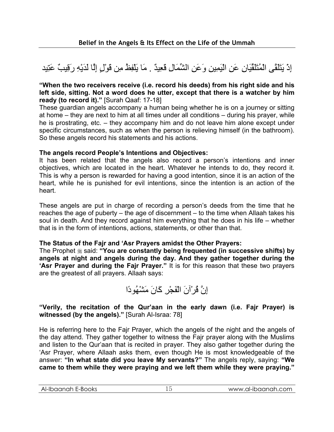# إِذْ يَتَلَقَّى الْمُتَلَقِّيَانِ عَنِ الْيَمِينِ وَعَنِ الشِّمَالِ قَعِيدٌ . مَا يَلْفِظُ مِن قَوْلٍ إِلَّا لَدَيْهِ رَقِيبٌ عَتِيد

#### **"When the two receivers receive (i.e. record his deeds) from his right side and his left side, sitting. Not a word does he utter, except that there is a watcher by him ready (to record it)."** [Surah Qaaf: 17-18]

These guardian angels accompany a human being whether he is on a journey or sitting at home – they are next to him at all times under all conditions – during his prayer, while he is prostrating, etc. – they accompany him and do not leave him alone except under specific circumstances, such as when the person is relieving himself (in the bathroom). So these angels record his statements and his actions.

#### **The angels record People's Intentions and Objectives:**

It has been related that the angels also record a person's intentions and inner objectives, which are located in the heart. Whatever he intends to do, they record it. This is why a person is rewarded for having a good intention, since it is an action of the heart, while he is punished for evil intentions, since the intention is an action of the heart.

These angels are put in charge of recording a person's deeds from the time that he reaches the age of puberty – the age of discernment – to the time when Allaah takes his soul in death. And they record against him everything that he does in his life – whether that is in the form of intentions, actions, statements, or other than that.

#### **The Status of the Fajr and 'Asr Prayers amidst the Other Prayers:**

The Prophet  $\frac{1}{26}$  said: "You are constantly being frequented (in successive shifts) by **angels at night and angels during the day. And they gather together during the 'Asr Prayer and during the Fajr Prayer."** It is for this reason that these two prayers are the greatest of all prayers. Allaah says:



#### **"Verily, the recitation of the Qur'aan in the early dawn (i.e. Fajr Prayer) is witnessed (by the angels)."** [Surah Al-Israa: 78]

He is referring here to the Fajr Prayer, which the angels of the night and the angels of the day attend. They gather together to witness the Fajr prayer along with the Muslims and listen to the Qur'aan that is recited in prayer. They also gather together during the 'Asr Prayer, where Allaah asks them, even though He is most knowledgeable of the answer: **"In what state did you leave My servants?"** The angels reply, saying: **"We came to them while they were praying and we left them while they were praying."**

|  | Al-Ibaanah E-Books |  | www.al-ibaanah.com |
|--|--------------------|--|--------------------|
|--|--------------------|--|--------------------|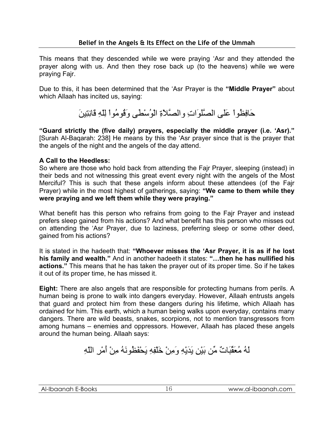This means that they descended while we were praying 'Asr and they attended the prayer along with us. And then they rose back up (to the heavens) while we were praying Fajr.

Due to this, it has been determined that the 'Asr Prayer is the **"Middle Prayer"** about which Allaah has incited us, saying:

حَافِظُواْ عَلَى الصَّلَوَاتِ والصَّلاَةِ الْوُسْطَى وَقُومُواْ لِلّهِ قَانِتِينَ

**"Guard strictly the (five daily) prayers, especially the middle prayer (i.e. 'Asr)."**  [Surah Al-Baqarah: 238] He means by this the 'Asr prayer since that is the prayer that the angels of the night and the angels of the day attend.

#### **A Call to the Heedless:**

So where are those who hold back from attending the Fajr Prayer, sleeping (instead) in their beds and not witnessing this great event every night with the angels of the Most Merciful? This is such that these angels inform about these attendees (of the Fajr Prayer) while in the most highest of gatherings, saying: **"We came to them while they were praying and we left them while they were praying."** 

What benefit has this person who refrains from going to the Fajr Prayer and instead prefers sleep gained from his actions? And what benefit has this person who misses out on attending the 'Asr Prayer, due to laziness, preferring sleep or some other deed, gained from his actions?

It is stated in the hadeeth that: **"Whoever misses the 'Asr Prayer, it is as if he lost his family and wealth."** And in another hadeeth it states: **"…then he has nullified his actions."** This means that he has taken the prayer out of its proper time. So if he takes it out of its proper time, he has missed it.

**Eight:** There are also angels that are responsible for protecting humans from perils. A human being is prone to walk into dangers everyday. However, Allaah entrusts angels that guard and protect him from these dangers during his lifetime, which Allaah has ordained for him. This earth, which a human being walks upon everyday, contains many dangers. There are wild beasts, snakes, scorpions, not to mention transgressors from among humans – enemies and oppressors. However, Allaah has placed these angels around the human being. Allaah says:

لَهُ مُعَقِّبَاتٌ مِّن بَيْنِ يَدَيْهِ وَمِنْ خَلْفِهِ يَحْفَظُونَهُ مِنْ أَمْرِ اللّهِ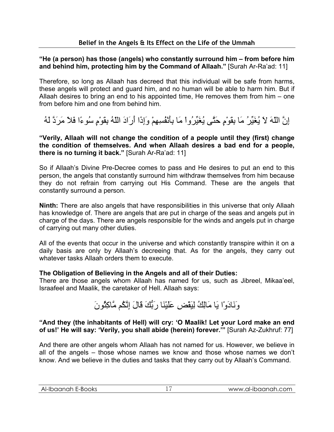#### **"He (a person) has those (angels) who constantly surround him – from before him and behind him, protecting him by the Command of Allaah."** [Surah Ar-Ra'ad: 11]

Therefore, so long as Allaah has decreed that this individual will be safe from harms, these angels will protect and guard him, and no human will be able to harm him. But if Allaah desires to bring an end to his appointed time, He removes them from him – one from before him and one from behind him.

إِنَّ اللّهَ لاَ يُغَيِّرُ مَا بِقَوْمٍ حَتَّى يُغَيِّرُواْ مَا بِأَنْفُسِهِمْ وَإِذَا أَرَادَ اللّهُ بِقَوْمٍ سُوءًا فَلاَ مَرَدَّ لَهُ

**"Verily, Allaah will not change the condition of a people until they (first) change the condition of themselves. And when Allaah desires a bad end for a people, there is no turning it back."** [Surah Ar-Ra'ad: 11]

So if Allaah's Divine Pre-Decree comes to pass and He desires to put an end to this person, the angels that constantly surround him withdraw themselves from him because they do not refrain from carrying out His Command. These are the angels that constantly surround a person.

**Ninth:** There are also angels that have responsibilities in this universe that only Allaah has knowledge of. There are angels that are put in charge of the seas and angels put in charge of the days. There are angels responsible for the winds and angels put in charge of carrying out many other duties.

All of the events that occur in the universe and which constantly transpire within it on a daily basis are only by Allaah's decreeing that. As for the angels, they carry out whatever tasks Allaah orders them to execute.

#### **The Obligation of Believing in the Angels and all of their Duties:**

There are those angels whom Allaah has named for us, such as Jibreel, Mikaa'eel, Israafeel and Maalik, the caretaker of Hell. Allaah says:

# وَنَادَوْا يَا مَالِكُ لِيَقْضِ عَلَيْنَا رَبُّكَ قَالَ إِنَّكُم مَّاآِثُونَ

#### **"And they (the inhabitants of Hell) will cry: 'O Maalik! Let your Lord make an end of us!' He will say: 'Verily, you shall abide (herein) forever.'"** [Surah Az-Zukhruf: 77]

And there are other angels whom Allaah has not named for us. However, we believe in all of the angels – those whose names we know and those whose names we don't know. And we believe in the duties and tasks that they carry out by Allaah's Command.

| Al-Ibaanah E-Books | www.al-ibaanah.com |
|--------------------|--------------------|
|                    |                    |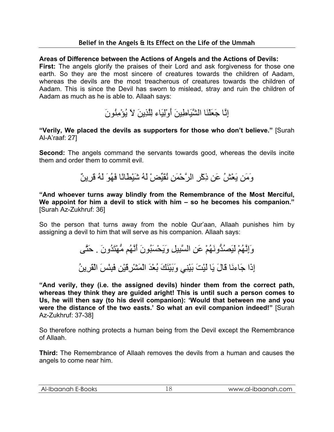#### **Areas of Difference between the Actions of Angels and the Actions of Devils:**

**First:** The angels glorify the praises of their Lord and ask forgiveness for those one earth. So they are the most sincere of creatures towards the children of Aadam, whereas the devils are the most treacherous of creatures towards the children of Aadam. This is since the Devil has sworn to mislead, stray and ruin the children of Aadam as much as he is able to. Allaah says:

إِنَّا جَعَلْنَا الشَّيَاطِينَ أَوْلِيَاء لِلَّذِينَ لاَ يُؤْمِنُونَ

**"Verily, We placed the devils as supporters for those who don't believe."** [Surah Al-A'raaf: 27]

**Second:** The angels command the servants towards good, whereas the devils incite them and order them to commit evil.

وَمَن يَعْشُ عَن ذِآْرِ الرَّحْمَنِ نُقَيِّضْ لَهُ شَيْطَانًا فَهُوَ لَهُ قَرِينٌ

**"And whoever turns away blindly from the Remembrance of the Most Merciful, We appoint for him a devil to stick with him – so he becomes his companion."**  [Surah Az-Zukhruf: 36]

So the person that turns away from the noble Qur'aan, Allaah punishes him by assigning a devil to him that will serve as his companion. Allaah says:

> وَإِنَّهُمْ لَيَصُدُّونَهُمْ عَنِ السَّبِيلِ وَيَحْسَبُونَ أَنَّهُم مُّهْتَدُونَ . حَتَّى إِذَا جَاءنَا قَالَ يَا لَيْتَ بَيْنِي وَبَيْنَكَ بُعْدَ الْمَشْرِقَيْنِ فَبِئْسَ الْقَرِينُ

**"And verily, they (i.e. the assigned devils) hinder them from the correct path, whereas they think they are guided aright! This is until such a person comes to Us, he will then say (to his devil companion): 'Would that between me and you were the distance of the two easts.' So what an evil companion indeed!"** [Surah Az-Zukhruf: 37-38]

So therefore nothing protects a human being from the Devil except the Remembrance of Allaah.

**Third:** The Remembrance of Allaah removes the devils from a human and causes the angels to come near him.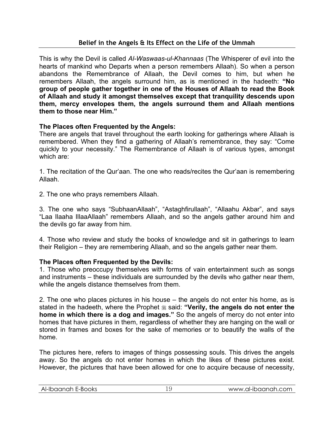This is why the Devil is called *Al-Waswaas-ul-Khannaas* (The Whisperer of evil into the hearts of mankind who Departs when a person remembers Allaah). So when a person abandons the Remembrance of Allaah, the Devil comes to him, but when he remembers Allaah, the angels surround him, as is mentioned in the hadeeth: **"No group of people gather together in one of the Houses of Allaah to read the Book of Allaah and study it amongst themselves except that tranquility descends upon them, mercy envelopes them, the angels surround them and Allaah mentions them to those near Him."**

#### **The Places often Frequented by the Angels:**

There are angels that travel throughout the earth looking for gatherings where Allaah is remembered. When they find a gathering of Allaah's remembrance, they say: "Come quickly to your necessity." The Remembrance of Allaah is of various types, amongst which are:

1. The recitation of the Qur'aan. The one who reads/recites the Qur'aan is remembering Allaah.

2. The one who prays remembers Allaah.

3. The one who says "SubhaanAllaah", "Astaghfirullaah", "Allaahu Akbar", and says "Laa Ilaaha IllaaAllaah" remembers Allaah, and so the angels gather around him and the devils go far away from him.

4. Those who review and study the books of knowledge and sit in gatherings to learn their Religion – they are remembering Allaah, and so the angels gather near them.

#### **The Places often Frequented by the Devils:**

1. Those who preoccupy themselves with forms of vain entertainment such as songs and instruments – these individuals are surrounded by the devils who gather near them, while the angels distance themselves from them.

2. The one who places pictures in his house – the angels do not enter his home, as is stated in the hadeeth, where the Prophet  $\frac{1}{20}$  said: "Verily, the angels do not enter the **home in which there is a dog and images."** So the angels of mercy do not enter into homes that have pictures in them, regardless of whether they are hanging on the wall or stored in frames and boxes for the sake of memories or to beautify the walls of the home.

The pictures here, refers to images of things possessing souls. This drives the angels away. So the angels do not enter homes in which the likes of these pictures exist. However, the pictures that have been allowed for one to acquire because of necessity,

| Al-Ibaanah E-Books<br>www.al-ibaanah.com<br>∸<br>__ |  |
|-----------------------------------------------------|--|
|-----------------------------------------------------|--|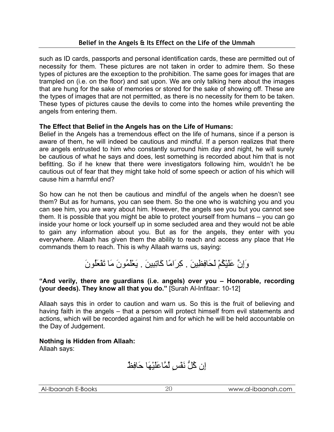such as ID cards, passports and personal identification cards, these are permitted out of necessity for them. These pictures are not taken in order to admire them. So these types of pictures are the exception to the prohibition. The same goes for images that are trampled on (i.e. on the floor) and sat upon. We are only talking here about the images that are hung for the sake of memories or stored for the sake of showing off. These are the types of images that are not permitted, as there is no necessity for them to be taken. These types of pictures cause the devils to come into the homes while preventing the angels from entering them.

#### **The Effect that Belief in the Angels has on the Life of Humans:**

Belief in the Angels has a tremendous effect on the life of humans, since if a person is aware of them, he will indeed be cautious and mindful. If a person realizes that there are angels entrusted to him who constantly surround him day and night, he will surely be cautious of what he says and does, lest something is recorded about him that is not befitting. So if he knew that there were investigators following him, wouldn't he be cautious out of fear that they might take hold of some speech or action of his which will cause him a harmful end?

So how can he not then be cautious and mindful of the angels when he doesn't see them? But as for humans, you can see them. So the one who is watching you and you can see him, you are wary about him. However, the angels see you but you cannot see them. It is possible that you might be able to protect yourself from humans – you can go inside your home or lock yourself up in some secluded area and they would not be able to gain any information about you. But as for the angels, they enter with you everywhere. Allaah has given them the ability to reach and access any place that He commands them to reach. This is why Allaah warns us, saying:

وَإِنَّ عَلَيْكُمْ لَحَافِظِينَ . آِرَامًا آَاتِبِينَ . يَعْلَمُونَ مَا تَفْعَلُونَ

#### **"And verily, there are guardians (i.e. angels) over you – Honorable, recording (your deeds). They know all that you do."** [Surah Al-Infitaar: 10-12]

Allaah says this in order to caution and warn us. So this is the fruit of believing and having faith in the angels – that a person will protect himself from evil statements and actions, which will be recorded against him and for which he will be held accountable on the Day of Judgement.

**Nothing is Hidden from Allaah:**  Allaah says:

إِن آُلُّ نَفْسٍ لَّمَّاعَلَيْهَا حَافِظٌ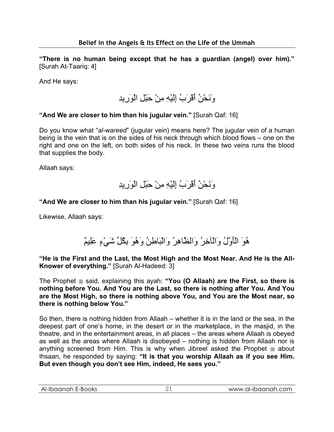**"There is no human being except that he has a guardian (angel) over him)."**  [Surah At-Taariq: 4]

And He says:

وَنَحْنُ أَقْرَبُ إِلَيْهِ مِنْ حَبْلِ الْوَرِيدِ

#### **"And We are closer to him than his jugular vein."** [Surah Qaf: 16]

Do you know what "*al-wareed*" (jugular vein) means here? The jugular vein of a human being is the vein that is on the sides of his neck through which blood flows – one on the right and one on the left, on both sides of his neck. In these two veins runs the blood that supplies the body.

Allaah says:

وَنَحْنُ أَقْرَبُ إِلَيْهِ مِنْ حَبْلِ الْوَرِيدِ

#### **"And We are closer to him than his jugular vein."** [Surah Qaf: 16]

Likewise, Allaah says:

هُوَ الْأَوَّلُ وَالْآخِرُ وَالظَّاهِرُ وَالْبَاطِنُ وَهُوَ بِكُلِّ شَيْءٍ عَلِيمٌ

**"He is the First and the Last, the Most High and the Most Near. And He is the All-Knower of everything."** [Surah Al-Hadeed: 3]

The Prophet  $\ast$  said, explaining this ayah: "You (O Allaah) are the First, so there is **nothing before You. And You are the Last, so there is nothing after You. And You are the Most High, so there is nothing above You, and You are the Most near, so there is nothing below You."**

So then, there is nothing hidden from Allaah – whether it is in the land or the sea, in the deepest part of one's home, in the desert or in the marketplace, in the masjid, in the theatre, and in the entertainment areas, in all places – the areas where Allaah is obeyed as well as the areas where Allaah is disobeyed – nothing is hidden from Allaah nor is anything screened from Him. This is why when Jibreel asked the Prophet  $*$  about Ihsaan, he responded by saying: **"It is that you worship Allaah as if you see Him. But even though you don't see Him, indeed, He sees you."**

| Al-Ibaanah E-Books | www.al-ibaanah.com |
|--------------------|--------------------|
|                    |                    |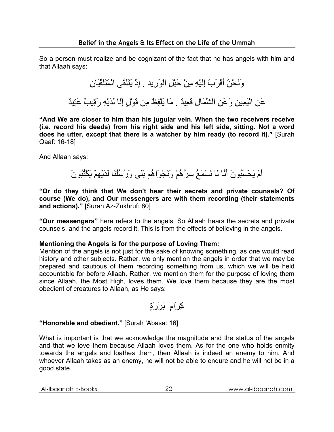So a person must realize and be cognizant of the fact that he has angels with him and that Allaah says:

> وَنَحْنُ أَقْرَبُ إِلَيْهِ مِنْ حَبْلِ الْوَرِيد . إِذْ يَتَلَقَّى الْمُتَلَقِّيَانِ عَنِ الْيَمِينِ وَعَنِ الشِّمَالِ قَعِيدٌ . مَا يَلْفِظُ مِن قَوْلٍ إِلَّا لَدَيْهِ رَقِيبٌ عَتِيدٌ

**"And We are closer to him than his jugular vein. When the two receivers receive (i.e. record his deeds) from his right side and his left side, sitting. Not a word does he utter, except that there is a watcher by him ready (to record it)."** [Surah Qaaf: 16-18]

And Allaah says:

أَمْ يَحْسَبُونَ أَنَّا لَا نَسْمَعُ سِرَّهُمْ وَنَجْوَاهُم بَلَى وَرُسُلُنَا لَدَيْهِمْ يَكْتُبُونَ

**"Or do they think that We don't hear their secrets and private counsels? Of course (We do), and Our messengers are with them recording (their statements and actions)."** [Surah Az-Zukhruf: 80]

**"Our messengers"** here refers to the angels. So Allaah hears the secrets and private counsels, and the angels record it. This is from the effects of believing in the angels.

#### **Mentioning the Angels is for the purpose of Loving Them:**

Mention of the angels is not just for the sake of knowing something, as one would read history and other subjects. Rather, we only mention the angels in order that we may be prepared and cautious of them recording something from us, which we will be held accountable for before Allaah. Rather, we mention them for the purpose of loving them since Allaah, the Most High, loves them. We love them because they are the most obedient of creatures to Allaah, as He says:

آِرَامٍ بَرَرَةٍ

### **"Honorable and obedient."** [Surah 'Abasa: 16]

What is important is that we acknowledge the magnitude and the status of the angels and that we love them because Allaah loves them. As for the one who holds enmity towards the angels and loathes them, then Allaah is indeed an enemy to him. And whoever Allaah takes as an enemy, he will not be able to endure and he will not be in a good state.

| Al-Ibaanah<br>E-Books | al-ibaanah.com.'<br><b>WAWA</b> |
|-----------------------|---------------------------------|
|                       |                                 |